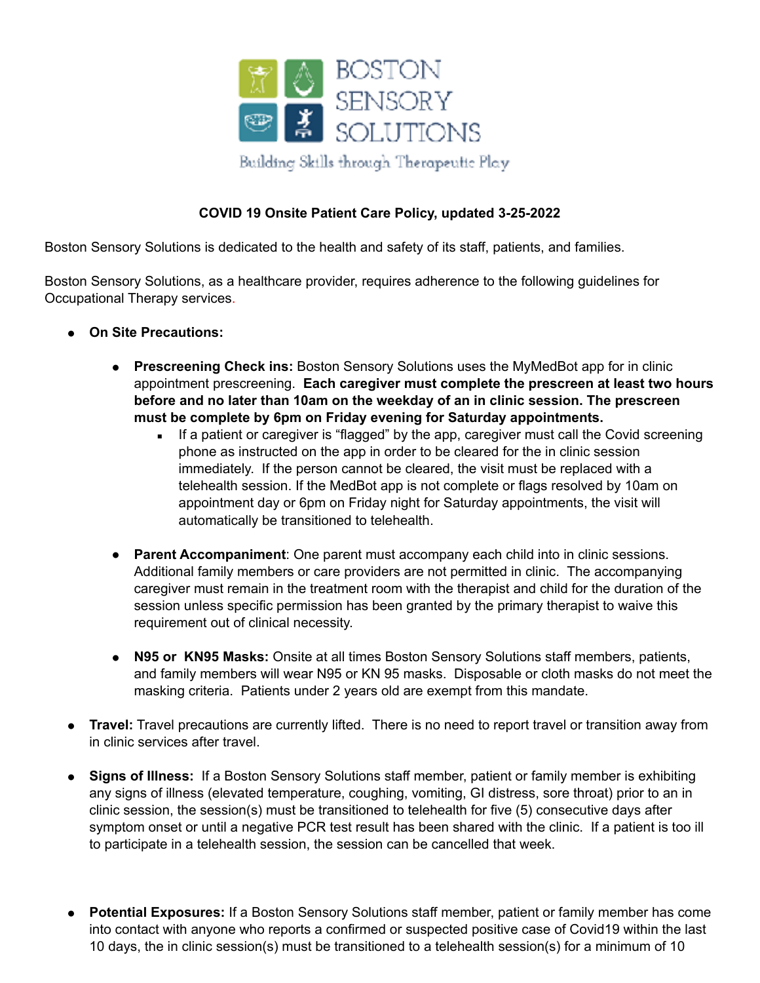

## **COVID 19 Onsite Patient Care Policy, updated 3-25-2022**

Boston Sensory Solutions is dedicated to the health and safety of its staff, patients, and families.

Boston Sensory Solutions, as a healthcare provider, requires adherence to the following guidelines for Occupational Therapy services.

- **On Site Precautions:**
	- **Prescreening Check ins:** Boston Sensory Solutions uses the MyMedBot app for in clinic appointment prescreening. **Each caregiver must complete the prescreen at least two hours before and no later than 10am on the weekday of an in clinic session. The prescreen must be complete by 6pm on Friday evening for Saturday appointments.**
		- **EXE** If a patient or caregiver is "flagged" by the app, caregiver must call the Covid screening phone as instructed on the app in order to be cleared for the in clinic session immediately. If the person cannot be cleared, the visit must be replaced with a telehealth session. If the MedBot app is not complete or flags resolved by 10am on appointment day or 6pm on Friday night for Saturday appointments, the visit will automatically be transitioned to telehealth.
	- **Parent Accompaniment**: One parent must accompany each child into in clinic sessions. Additional family members or care providers are not permitted in clinic. The accompanying caregiver must remain in the treatment room with the therapist and child for the duration of the session unless specific permission has been granted by the primary therapist to waive this requirement out of clinical necessity.
	- **N95 or KN95 Masks:** Onsite at all times Boston Sensory Solutions staff members, patients, and family members will wear N95 or KN 95 masks. Disposable or cloth masks do not meet the masking criteria. Patients under 2 years old are exempt from this mandate.
- **Travel:** Travel precautions are currently lifted. There is no need to report travel or transition away from in clinic services after travel.
- **Signs of Illness:** If a Boston Sensory Solutions staff member, patient or family member is exhibiting any signs of illness (elevated temperature, coughing, vomiting, GI distress, sore throat) prior to an in clinic session, the session(s) must be transitioned to telehealth for five (5) consecutive days after symptom onset or until a negative PCR test result has been shared with the clinic. If a patient is too ill to participate in a telehealth session, the session can be cancelled that week.
- Potential Exposures: If a Boston Sensory Solutions staff member, patient or family member has come into contact with anyone who reports a confirmed or suspected positive case of Covid19 within the last 10 days, the in clinic session(s) must be transitioned to a telehealth session(s) for a minimum of 10